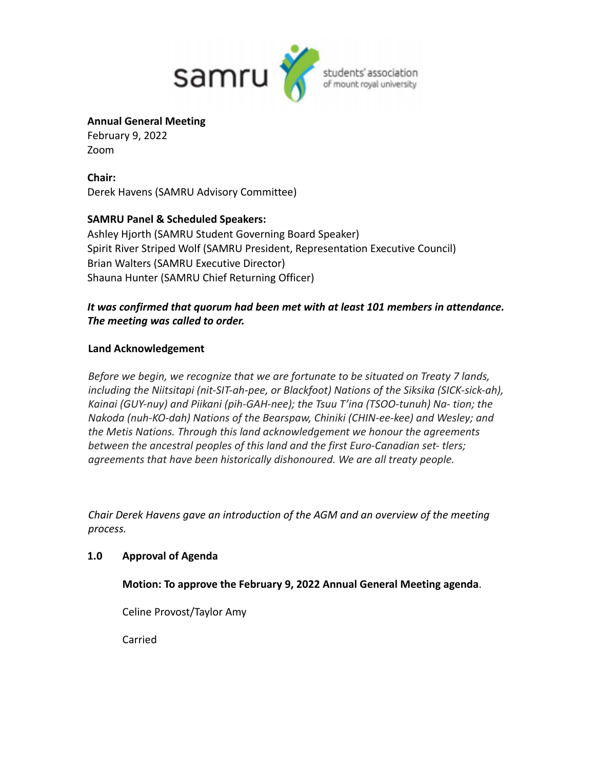

### **Annual General Meeting**

February 9, 2022 Zoom

**Chair:** Derek Havens (SAMRU Advisory Committee)

# **SAMRU Panel & Scheduled Speakers:**

Ashley Hjorth (SAMRU Student Governing Board Speaker) Spirit River Striped Wolf (SAMRU President, Representation Executive Council) Brian Walters (SAMRU Executive Director) Shauna Hunter (SAMRU Chief Returning Officer)

# *It was confirmed that quorum had been met with at least 101 members in attendance. The meeting was called to order.*

# **Land Acknowledgement**

*Before we begin, we recognize that we are fortunate to be situated on Treaty 7 lands, including the Niitsitapi (nit-SIT-ah-pee, or Blackfoot) Nations of the Siksika (SICK-sick-ah), Kainai (GUY-nuy) and Piikani (pih-GAH-nee); the Tsuu T'ina (TSOO-tunuh) Na- tion; the Nakoda (nuh-KO-dah) Nations of the Bearspaw, Chiniki (CHIN-ee-kee) and Wesley; and the Metis Nations. Through this land acknowledgement we honour the agreements between the ancestral peoples of this land and the first Euro-Canadian set- tlers; agreements that have been historically dishonoured. We are all treaty people.*

*Chair Derek Havens gave an introduction of the AGM and an overview of the meeting process.*

# **1.0 Approval of Agenda**

# **Motion: To approve the February 9, 2022 Annual General Meeting agenda**.

Celine Provost/Taylor Amy

Carried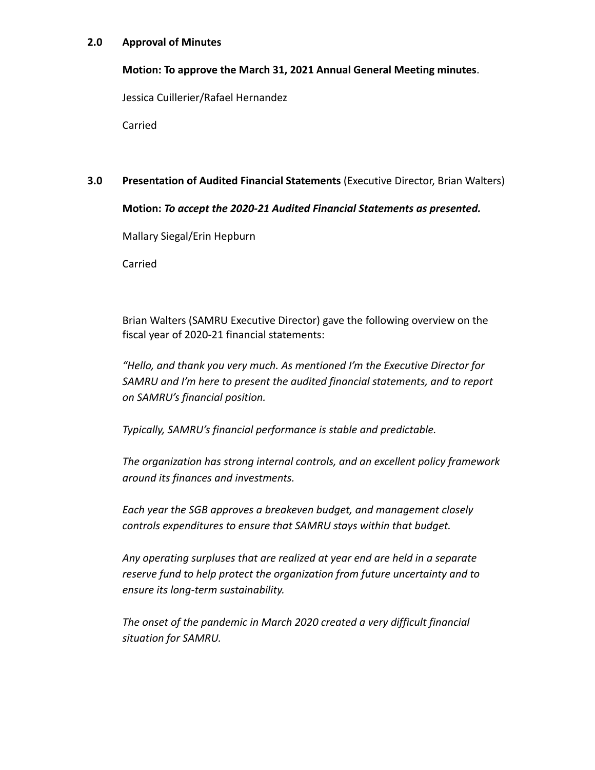### **2.0 Approval of Minutes**

### **Motion: To approve the March 31, 2021 Annual General Meeting minutes**.

Jessica Cuillerier/Rafael Hernandez

Carried

### **3.0 Presentation of Audited Financial Statements** (Executive Director, Brian Walters)

### **Motion:** *To accept the 2020-21 Audited Financial Statements as presented.*

Mallary Siegal/Erin Hepburn

Carried

Brian Walters (SAMRU Executive Director) gave the following overview on the fiscal year of 2020-21 financial statements:

*"Hello, and thank you very much. As mentioned I'm the Executive Director for SAMRU and I'm here to present the audited financial statements, and to report on SAMRU's financial position.*

*Typically, SAMRU's financial performance is stable and predictable.*

*The organization has strong internal controls, and an excellent policy framework around its finances and investments.*

*Each year the SGB approves a breakeven budget, and management closely controls expenditures to ensure that SAMRU stays within that budget.*

*Any operating surpluses that are realized at year end are held in a separate reserve fund to help protect the organization from future uncertainty and to ensure its long-term sustainability.*

*The onset of the pandemic in March 2020 created a very difficult financial situation for SAMRU.*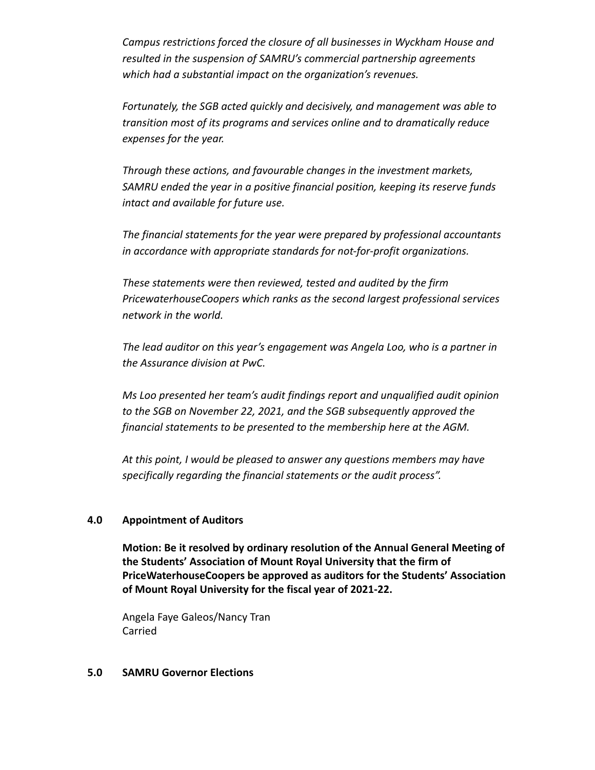*Campus restrictions forced the closure of all businesses in Wyckham House and resulted in the suspension of SAMRU's commercial partnership agreements which had a substantial impact on the organization's revenues.*

*Fortunately, the SGB acted quickly and decisively, and management was able to transition most of its programs and services online and to dramatically reduce expenses for the year.*

*Through these actions, and favourable changes in the investment markets, SAMRU ended the year in a positive financial position, keeping its reserve funds intact and available for future use.*

*The financial statements for the year were prepared by professional accountants in accordance with appropriate standards for not-for-profit organizations.*

*These statements were then reviewed, tested and audited by the firm PricewaterhouseCoopers which ranks as the second largest professional services network in the world.*

*The lead auditor on this year's engagement was Angela Loo, who is a partner in the Assurance division at PwC.*

*Ms Loo presented her team's audit findings report and unqualified audit opinion to the SGB on November 22, 2021, and the SGB subsequently approved the financial statements to be presented to the membership here at the AGM.*

*At this point, I would be pleased to answer any questions members may have specifically regarding the financial statements or the audit process".*

### **4.0 Appointment of Auditors**

**Motion: Be it resolved by ordinary resolution of the Annual General Meeting of the Students' Association of Mount Royal University that the firm of PriceWaterhouseCoopers be approved as auditors for the Students' Association of Mount Royal University for the fiscal year of 2021-22.**

Angela Faye Galeos/Nancy Tran Carried

#### **5.0 SAMRU Governor Elections**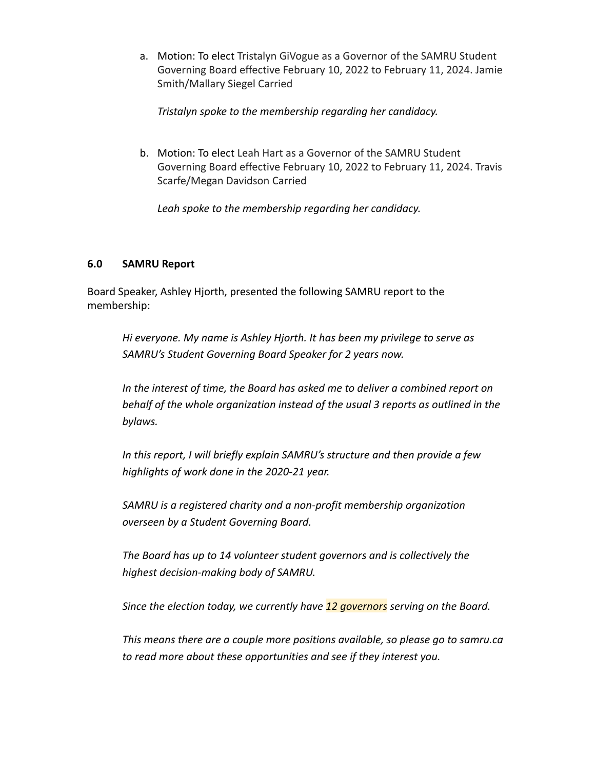a. Motion: To elect Tristalyn GiVogue as a Governor of the SAMRU Student Governing Board effective February 10, 2022 to February 11, 2024. Jamie Smith/Mallary Siegel Carried

*Tristalyn spoke to the membership regarding her candidacy.*

b. Motion: To elect Leah Hart as a Governor of the SAMRU Student Governing Board effective February 10, 2022 to February 11, 2024. Travis Scarfe/Megan Davidson Carried

*Leah spoke to the membership regarding her candidacy.*

### **6.0 SAMRU Report**

Board Speaker, Ashley Hjorth, presented the following SAMRU report to the membership:

*Hi everyone. My name is Ashley Hjorth. It has been my privilege to serve as SAMRU's Student Governing Board Speaker for 2 years now.*

*In the interest of time, the Board has asked me to deliver a combined report on behalf of the whole organization instead of the usual 3 reports as outlined in the bylaws.*

*In this report, I will briefly explain SAMRU's structure and then provide a few highlights of work done in the 2020-21 year.*

*SAMRU is a registered charity and a non-profit membership organization overseen by a Student Governing Board.*

*The Board has up to 14 volunteer student governors and is collectively the highest decision-making body of SAMRU.*

*Since the election today, we currently have 12 governors serving on the Board.*

*This means there are a couple more positions available, so please go to samru.ca to read more about these opportunities and see if they interest you.*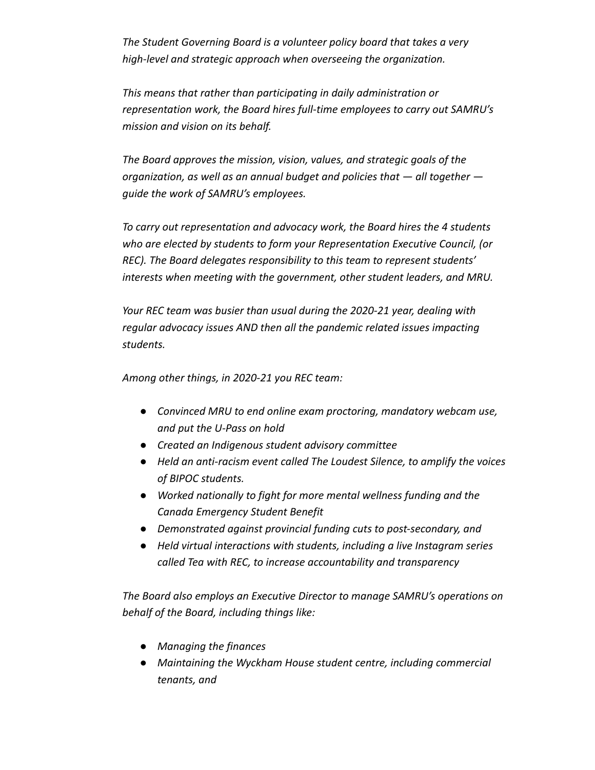*The Student Governing Board is a volunteer policy board that takes a very high-level and strategic approach when overseeing the organization.*

*This means that rather than participating in daily administration or representation work, the Board hires full-time employees to carry out SAMRU's mission and vision on its behalf.*

*The Board approves the mission, vision, values, and strategic goals of the organization, as well as an annual budget and policies that — all together guide the work of SAMRU's employees.*

*To carry out representation and advocacy work, the Board hires the 4 students who are elected by students to form your Representation Executive Council, (or REC). The Board delegates responsibility to this team to represent students' interests when meeting with the government, other student leaders, and MRU.*

*Your REC team was busier than usual during the 2020-21 year, dealing with regular advocacy issues AND then all the pandemic related issues impacting students.*

*Among other things, in 2020-21 you REC team:*

- *● Convinced MRU to end online exam proctoring, mandatory webcam use, and put the U-Pass on hold*
- *● Created an Indigenous student advisory committee*
- *● Held an anti-racism event called The Loudest Silence, to amplify the voices of BIPOC students.*
- *● Worked nationally to fight for more mental wellness funding and the Canada Emergency Student Benefit*
- *● Demonstrated against provincial funding cuts to post-secondary, and*
- *● Held virtual interactions with students, including a live Instagram series called Tea with REC, to increase accountability and transparency*

*The Board also employs an Executive Director to manage SAMRU's operations on behalf of the Board, including things like:*

- *● Managing the finances*
- *● Maintaining the Wyckham House student centre, including commercial tenants, and*